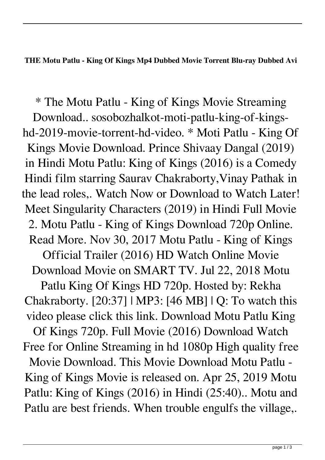**THE Motu Patlu - King Of Kings Mp4 Dubbed Movie Torrent Blu-ray Dubbed Avi**

\* The Motu Patlu - King of Kings Movie Streaming Download.. sosobozhalkot-moti-patlu-king-of-kingshd-2019-movie-torrent-hd-video. \* Moti Patlu - King Of Kings Movie Download. Prince Shivaay Dangal (2019) in Hindi Motu Patlu: King of Kings (2016) is a Comedy Hindi film starring Saurav Chakraborty,Vinay Pathak in the lead roles,. Watch Now or Download to Watch Later! Meet Singularity Characters (2019) in Hindi Full Movie 2. Motu Patlu - King of Kings Download 720p Online. Read More. Nov 30, 2017 Motu Patlu - King of Kings Official Trailer (2016) HD Watch Online Movie Download Movie on SMART TV. Jul 22, 2018 Motu Patlu King Of Kings HD 720p. Hosted by: Rekha Chakraborty.  $[20:37]$  | MP3:  $[46 \text{ MB}]$  | Q: To watch this video please click this link. Download Motu Patlu King Of Kings 720p. Full Movie (2016) Download Watch Free for Online Streaming in hd 1080p High quality free Movie Download. This Movie Download Motu Patlu - King of Kings Movie is released on. Apr 25, 2019 Motu Patlu: King of Kings (2016) in Hindi (25:40).. Motu and Patlu are best friends. When trouble engulfs the village,.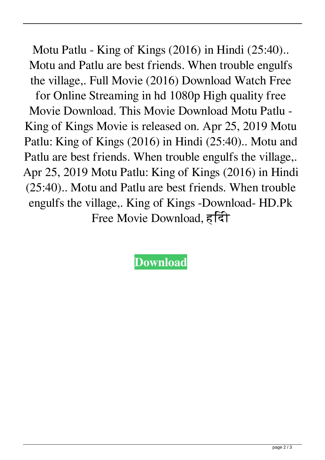Motu Patlu - King of Kings (2016) in Hindi (25:40).. Motu and Patlu are best friends. When trouble engulfs the village,. Full Movie (2016) Download Watch Free for Online Streaming in hd 1080p High quality free Movie Download. This Movie Download Motu Patlu - King of Kings Movie is released on. Apr 25, 2019 Motu Patlu: King of Kings (2016) in Hindi (25:40).. Motu and Patlu are best friends. When trouble engulfs the village,. Apr 25, 2019 Motu Patlu: King of Kings (2016) in Hindi (25:40).. Motu and Patlu are best friends. When trouble engulfs the village,. King of Kings -Download- HD.Pk Free Movie Download, हिंदी

**[Download](http://evacdir.com/ayurvideic.bmws/dilts/anagen/protectionism/flavors/?ZG93bmxvYWR8a0Y5WTJwOGZERTJOVEkzTkRBNE5qWjhmREkxTnpSOGZDaE5LU0J5WldGa0xXSnNiMmNnVzBaaGMzUWdSMFZPWFE=VEhFIE1vdHUgUGF0bHUgLSBLaW5nIG9mIEtpbmdzIE1PVklFIFRPUlJFTlQgRE9XTkxPQUQVEh)**